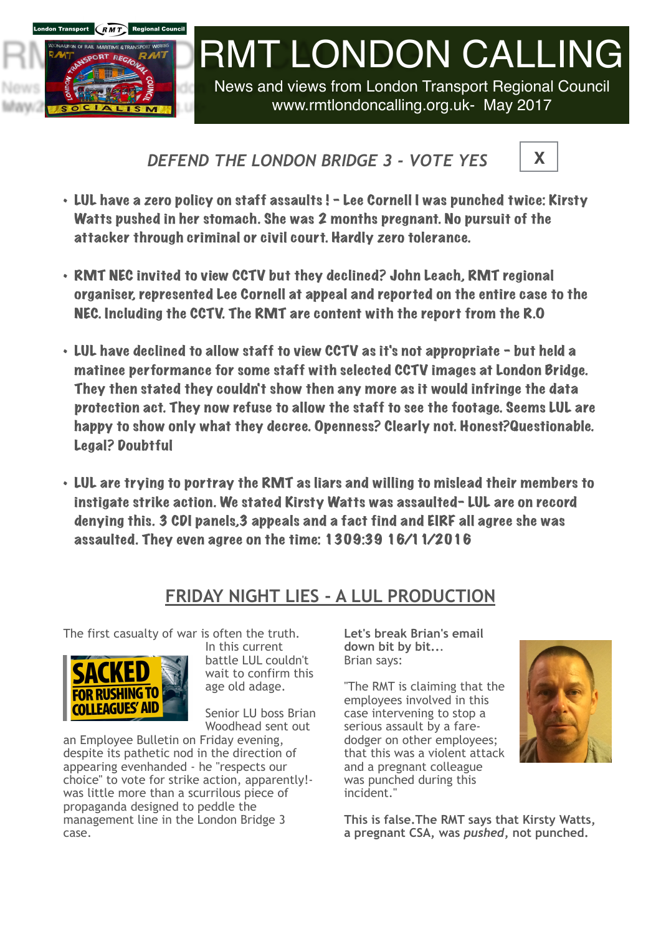

## [RMT](http://www.apple.com/uk) LONDON CALLING

News and views from London Transport Regional Council www.rmtlondoncalling.org.uk- May 2017

## *DEFEND THE LONDON BRIDGE 3 - VOTE YES*



- LUL have a zero policy on staff assaults ! Lee Cornell I was punched twice: Kirsty Watts pushed in her stomach. She was 2 months pregnant. No pursuit of the attacker through criminal or civil court. Hardly zero tolerance.
- RMT NEC invited to view CCTV but they declined? John Leach, RMT regional organiser, represented Lee Cornell at appeal and reported on the entire case to the NEC. Including the CCTV. The RMT are content with the report from the R.O
- LUL have declined to allow staff to view CCTV as it's not appropriate but held a matinee performance for some staff with selected CCTV images at London Bridge. They then stated they couldn't show then any more as it would infringe the data protection act. They now refuse to allow the staff to see the footage. Seems LUL are happy to show only what they decree. Openness? Clearly not. Honest?Questionable. Legal? Doubtful
- LUL are trying to portray the RMT as liars and willing to mislead their members to instigate strike action. We stated Kirsty Watts was assaulted- LUL are on record denying this. 3 CDI panels,3 appeals and a fact find and EIRF all agree she was assaulted. They even agree on the time: 1309:39 16/11/2016

## **FRIDAY NIGHT LIES - A LUL PRODUCTION**

The first casualty of war is often the truth.



In this current battle LUL couldn't wait to confirm this age old adage.

Senior LU boss Brian Woodhead sent out

an Employee Bulletin on Friday evening, despite its pathetic nod in the direction of appearing evenhanded - he "respects our choice" to vote for strike action, apparently! was little more than a scurrilous piece of propaganda designed to peddle the management line in the London Bridge 3 case.

**Let's break Brian's email down bit by bit..**. Brian says:

"The RMT is claiming that the employees involved in this case intervening to stop a serious assault by a faredodger on other employees; that this was a violent attack and a pregnant colleague was punched during this incident."



**This is false.The RMT says that Kirsty Watts, a pregnant CSA, was** *pushed***, not punched.**